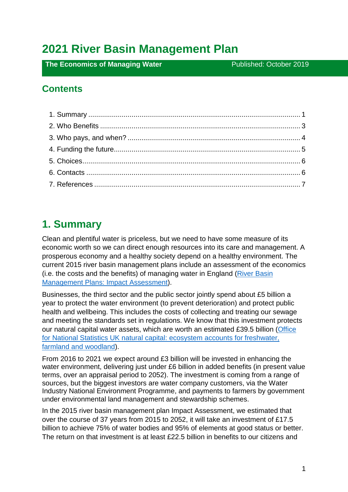# **2021 River Basin Management Plan**

**The Economics of Managing Water Published: October 2019** 

#### **Contents**

## <span id="page-0-0"></span>**1. Summary**

Clean and plentiful water is priceless, but we need to have some measure of its economic worth so we can direct enough resources into its care and management. A prosperous economy and a healthy society depend on a healthy environment. The current 2015 river basin management plans include an assessment of the economics (i.e. the costs and the benefits) of managing water in England [\(River Basin](https://www.gov.uk/government/publications/river-basin-management-plans-impact-assessment)  [Management Plans: Impact](https://www.gov.uk/government/publications/river-basin-management-plans-impact-assessment) Assessment).

Businesses, the third sector and the public sector jointly spend about £5 billion a year to protect the water environment (to prevent deterioration) and protect public health and wellbeing. This includes the costs of collecting and treating our sewage and meeting the standards set in regulations. We know that this investment protects our natural capital water assets, which are worth an estimated £39.5 billion (Office [for National Statistics UK natural capital: ecosystem accounts for freshwater,](https://www.ons.gov.uk/economy/environmentalaccounts/bulletins/uknaturalcapital/landandhabitatecosystemaccounts%23ecosystem-accounts-for-freshwater)  [farmland and woodland\)](https://www.ons.gov.uk/economy/environmentalaccounts/bulletins/uknaturalcapital/landandhabitatecosystemaccounts%23ecosystem-accounts-for-freshwater).

From 2016 to 2021 we expect around £3 billion will be invested in enhancing the water environment, delivering just under £6 billion in added benefits (in present value terms, over an appraisal period to 2052). The investment is coming from a range of sources, but the biggest investors are water company customers, via the Water Industry National Environment Programme, and payments to farmers by government under environmental land management and stewardship schemes.

In the 2015 river basin management plan Impact Assessment, we estimated that over the course of 37 years from 2015 to 2052, it will take an investment of £17.5 billion to achieve 75% of water bodies and 95% of elements at good status or better. The return on that investment is at least £22.5 billion in benefits to our citizens and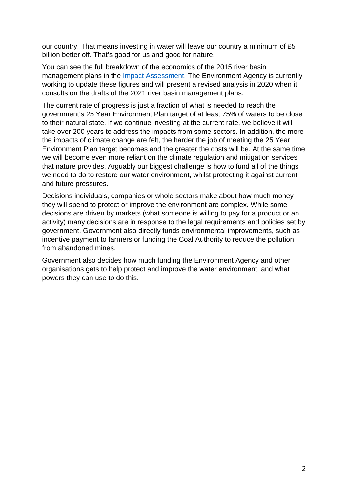our country. That means investing in water will leave our country a minimum of £5 billion better off. That's good for us and good for nature.

You can see the full breakdown of the economics of the 2015 river basin management plans in the [Impact Assessment.](https://www.gov.uk/government/publications/river-basin-management-plans-impact-assessment) The Environment Agency is currently working to update these figures and will present a revised analysis in 2020 when it consults on the drafts of the 2021 river basin management plans.

The current rate of progress is just a fraction of what is needed to reach the government's 25 Year Environment Plan target of at least 75% of waters to be close to their natural state. If we continue investing at the current rate, we believe it will take over 200 years to address the impacts from some sectors. In addition, the more the impacts of climate change are felt, the harder the job of meeting the 25 Year Environment Plan target becomes and the greater the costs will be. At the same time we will become even more reliant on the climate regulation and mitigation services that nature provides. Arguably our biggest challenge is how to fund all of the things we need to do to restore our water environment, whilst protecting it against current and future pressures.

Decisions individuals, companies or whole sectors make about how much money they will spend to protect or improve the environment are complex. While some decisions are driven by markets (what someone is willing to pay for a product or an activity) many decisions are in response to the legal requirements and policies set by government. Government also directly funds environmental improvements, such as incentive payment to farmers or funding the Coal Authority to reduce the pollution from abandoned mines.

<span id="page-1-0"></span>Government also decides how much funding the Environment Agency and other organisations gets to help protect and improve the water environment, and what powers they can use to do this.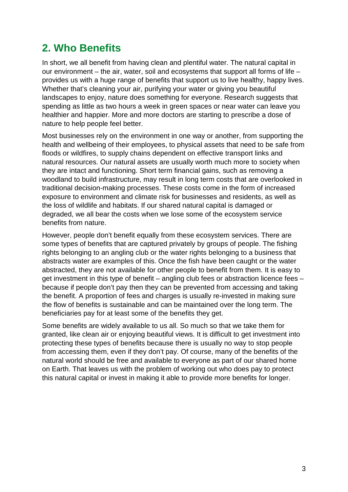# **2. Who Benefits**

In short, we all benefit from having clean and plentiful water. The natural capital in our environment – the air, water, soil and ecosystems that support all forms of life – provides us with a huge range of benefits that support us to live healthy, happy lives. Whether that's cleaning your air, purifying your water or giving you beautiful landscapes to enjoy, nature does something for everyone. Research suggests that spending as little as two hours a week in green spaces or near water can leave you healthier and happier. More and more doctors are starting to prescribe a dose of nature to help people feel better.

Most businesses rely on the environment in one way or another, from supporting the health and wellbeing of their employees, to physical assets that need to be safe from floods or wildfires, to supply chains dependent on effective transport links and natural resources. Our natural assets are usually worth much more to society when they are intact and functioning. Short term financial gains, such as removing a woodland to build infrastructure, may result in long term costs that are overlooked in traditional decision-making processes. These costs come in the form of increased exposure to environment and climate risk for businesses and residents, as well as the loss of wildlife and habitats. If our shared natural capital is damaged or degraded, we all bear the costs when we lose some of the ecosystem service benefits from nature.

However, people don't benefit equally from these ecosystem services. There are some types of benefits that are captured privately by groups of people. The fishing rights belonging to an angling club or the water rights belonging to a business that abstracts water are examples of this. Once the fish have been caught or the water abstracted, they are not available for other people to benefit from them. It is easy to get investment in this type of benefit – angling club fees or abstraction licence fees – because if people don't pay then they can be prevented from accessing and taking the benefit. A proportion of fees and charges is usually re-invested in making sure the flow of benefits is sustainable and can be maintained over the long term. The beneficiaries pay for at least some of the benefits they get.

Some benefits are widely available to us all. So much so that we take them for granted, like clean air or enjoying beautiful views. It is difficult to get investment into protecting these types of benefits because there is usually no way to stop people from accessing them, even if they don't pay. Of course, many of the benefits of the natural world should be free and available to everyone as part of our shared home on Earth. That leaves us with the problem of working out who does pay to protect this natural capital or invest in making it able to provide more benefits for longer.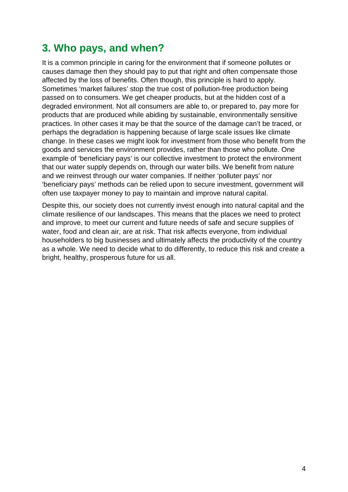### <span id="page-3-0"></span>**3. Who pays, and when?**

It is a common principle in caring for the environment that if someone pollutes or causes damage then they should pay to put that right and often compensate those affected by the loss of benefits. Often though, this principle is hard to apply. Sometimes 'market failures' stop the true cost of pollution-free production being passed on to consumers. We get cheaper products, but at the hidden cost of a degraded environment. Not all consumers are able to, or prepared to, pay more for products that are produced while abiding by sustainable, environmentally sensitive practices. In other cases it may be that the source of the damage can't be traced, or perhaps the degradation is happening because of large scale issues like climate change. In these cases we might look for investment from those who benefit from the goods and services the environment provides, rather than those who pollute. One example of 'beneficiary pays' is our collective investment to protect the environment that our water supply depends on, through our water bills. We benefit from nature and we reinvest through our water companies. If neither 'polluter pays' nor 'beneficiary pays' methods can be relied upon to secure investment, government will often use taxpayer money to pay to maintain and improve natural capital.

Despite this, our society does not currently invest enough into natural capital and the climate resilience of our landscapes. This means that the places we need to protect and improve, to meet our current and future needs of safe and secure supplies of water, food and clean air, are at risk. That risk affects everyone, from individual householders to big businesses and ultimately affects the productivity of the country as a whole. We need to decide what to do differently, to reduce this risk and create a bright, healthy, prosperous future for us all.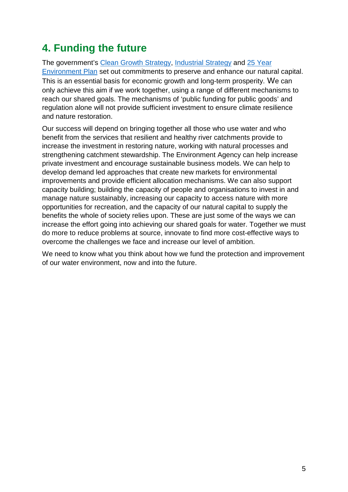# <span id="page-4-0"></span>**4. Funding the future**

The government's [Clean Growth Strategy,](https://www.gov.uk/government/publications/clean-growth-strategy) [Industrial Strategy](https://www.gov.uk/government/publications/industrial-strategy-building-a-britain-fit-for-the-future) and [25 Year](https://www.gov.uk/government/publications/25-year-environment-plan)  [Environment Plan](https://www.gov.uk/government/publications/25-year-environment-plan) set out commitments to preserve and enhance our natural capital. This is an essential basis for economic growth and long-term prosperity. We can only achieve this aim if we work together, using a range of different mechanisms to reach our shared goals. The mechanisms of 'public funding for public goods' and regulation alone will not provide sufficient investment to ensure climate resilience and nature restoration.

Our success will depend on bringing together all those who use water and who benefit from the services that resilient and healthy river catchments provide to increase the investment in restoring nature, working with natural processes and strengthening catchment stewardship. The Environment Agency can help increase private investment and encourage sustainable business models. We can help to develop demand led approaches that create new markets for environmental improvements and provide efficient allocation mechanisms. We can also support capacity building; building the capacity of people and organisations to invest in and manage nature sustainably, increasing our capacity to access nature with more opportunities for recreation, and the capacity of our natural capital to supply the benefits the whole of society relies upon. These are just some of the ways we can increase the effort going into achieving our shared goals for water. Together we must do more to reduce problems at source, innovate to find more cost-effective ways to overcome the challenges we face and increase our level of ambition.

We need to know what you think about how we fund the protection and improvement of our water environment, now and into the future.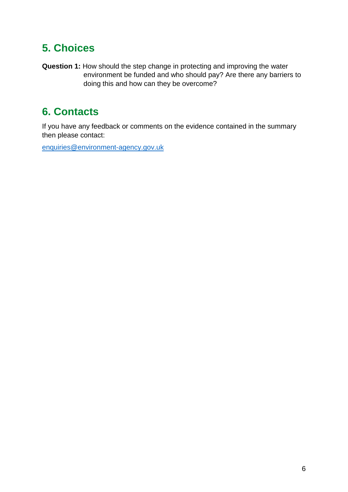# <span id="page-5-0"></span>**5. Choices**

**Question 1:** How should the step change in protecting and improving the water environment be funded and who should pay? Are there any barriers to doing this and how can they be overcome?

# <span id="page-5-1"></span>**6. Contacts**

If you have any feedback or comments on the evidence contained in the summary then please contact:

[enquiries@environment-agency.gov.uk](mailto:enquiries@environment-agency.gov.uk)